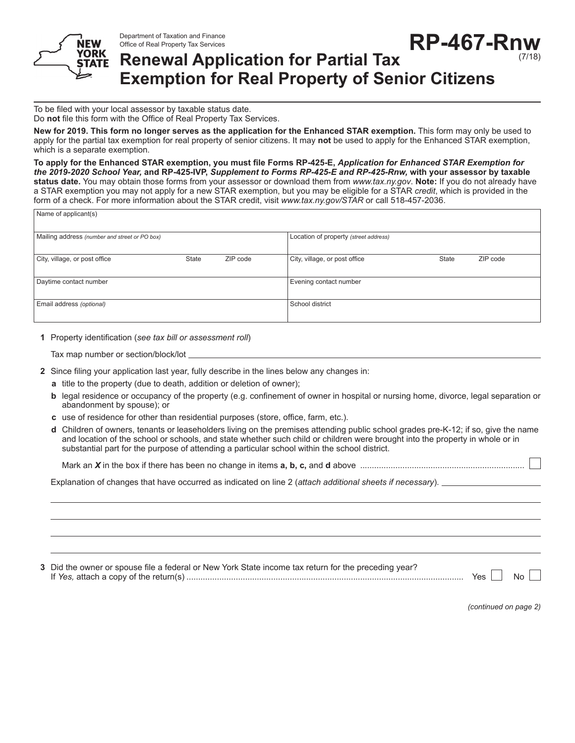Department of Taxation and Finance Office of Real Property Tax Services



## **RP-467-Rnw Renewal Application for Partial Tax Exemption for Real Property of Senior Citizens**

To be filed with your local assessor by taxable status date. Do **not** file this form with the Office of Real Property Tax Services.

**New for 2019. This form no longer serves as the application for the Enhanced STAR exemption.** This form may only be used to apply for the partial tax exemption for real property of senior citizens. It may **not** be used to apply for the Enhanced STAR exemption, which is a separate exemption.

**To apply for the Enhanced STAR exemption, you must file Forms RP-425-E,** *Application for Enhanced STAR Exemption for the 2019-2020 School Year,* **and RP-425-IVP,** *Supplement to Forms RP-425-E and RP-425-Rnw,* **with your assessor by taxable status date.** You may obtain those forms from your assessor or download them from *www.tax.ny.gov*. **Note:** If you do not already have a STAR exemption you may not apply for a new STAR exemption, but you may be eligible for a STAR *credit*, which is provided in the form of a check. For more information about the STAR credit, visit *www.tax.ny.gov/STAR* or call 518-457-2036.

| Name of applicant(s)                          |       |                                       |                               |              |          |  |
|-----------------------------------------------|-------|---------------------------------------|-------------------------------|--------------|----------|--|
| Mailing address (number and street or PO box) |       | Location of property (street address) |                               |              |          |  |
| City, village, or post office                 | State | ZIP code                              | City, village, or post office | <b>State</b> | ZIP code |  |
| Daytime contact number                        |       |                                       | Evening contact number        |              |          |  |
| Email address (optional)                      |       |                                       | School district               |              |          |  |

**1** Property identification (*see tax bill or assessment roll*)

Tax map number or section/block/lot

- **2** Since filing your application last year, fully describe in the lines below any changes in:
	- **a** title to the property (due to death, addition or deletion of owner);
	- **b** legal residence or occupancy of the property (e.g. confinement of owner in hospital or nursing home, divorce, legal separation or abandonment by spouse); or
	- **c** use of residence for other than residential purposes (store, office, farm, etc.).
	- **d** Children of owners, tenants or leaseholders living on the premises attending public school grades pre-K-12; if so, give the name and location of the school or schools, and state whether such child or children were brought into the property in whole or in substantial part for the purpose of attending a particular school within the school district.

Mark an *X* in the box if there has been no change in items **a, b, c,** and **d** above ......................................................................

Explanation of changes that have occurred as indicated on line 2 (*attach additional sheets if necessary*).

| 3 Did the owner or spouse file a federal or New York State income tax return for the preceding year? |         |       |
|------------------------------------------------------------------------------------------------------|---------|-------|
|                                                                                                      | Yes $ $ | No II |

*(continued on page 2)*

(7/18)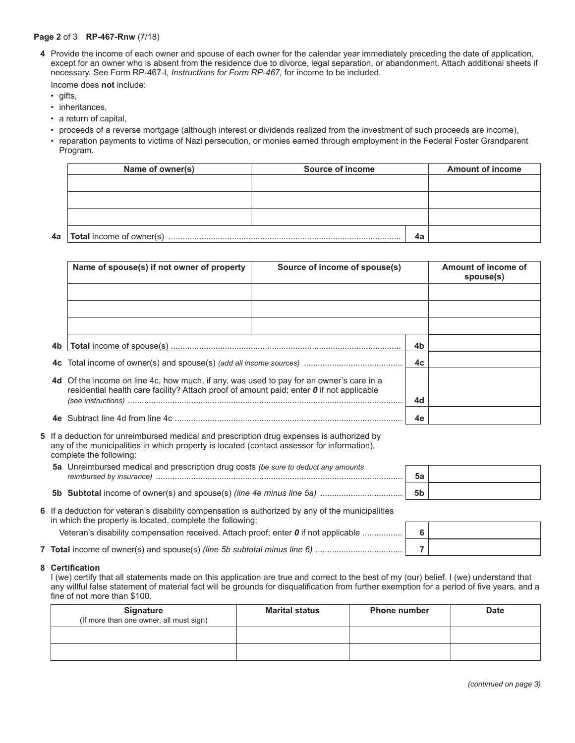## **Page 2** of 3 **RP-467-Rnw** (7/18)

**4** Provide the income of each owner and spouse of each owner for the calendar year immediately preceding the date of application, except for an owner who is absent from the residence due to divorce, legal separation, or abandonment. Attach additional sheets if necessary. See Form RP-467-I, *Instructions for Form RP-467,* for income to be included.

Income does **not** include:

• gifts,

**4a**

- inheritances,
- a return of capital,
- proceeds of a reverse mortgage (although interest or dividends realized from the investment of such proceeds are income),
- reparation payments to victims of Nazi persecution, or monies earned through employment in the Federal Foster Grandparent Program.

| Name of owner(s)                | Source of income | <b>Amount of income</b> |
|---------------------------------|------------------|-------------------------|
|                                 |                  |                         |
|                                 |                  |                         |
|                                 |                  |                         |
| <b>Total</b> income of owner(s) |                  | 4a                      |

| Name of spouse(s) if not owner of property                                                                                                                                                               | Source of income of spouse(s) |    | Amount of income of<br>spouse(s) |
|----------------------------------------------------------------------------------------------------------------------------------------------------------------------------------------------------------|-------------------------------|----|----------------------------------|
|                                                                                                                                                                                                          |                               |    |                                  |
|                                                                                                                                                                                                          |                               |    |                                  |
|                                                                                                                                                                                                          |                               |    |                                  |
|                                                                                                                                                                                                          |                               | 4b |                                  |
|                                                                                                                                                                                                          |                               | 4c |                                  |
| 4d Of the income on line 4c, how much, if any, was used to pay for an owner's care in a<br>residential health care facility? Attach proof of amount paid; enter $\boldsymbol{0}$ if not applicable<br>4d |                               |    |                                  |
|                                                                                                                                                                                                          |                               | 4e |                                  |

- **5** If a deduction for unreimbursed medical and prescription drug expenses is authorized by any of the municipalities in which property is located (contact assessor for information), complete the following:
	- **5a** Unreimbursed medical and prescription drug costs *(be sure to deduct any amounts reimbursed by insurance)* ......................................................................................................... **5a**
	- **5b Subtotal** income of owner(s) and spouse(s) *(line 4e minus line 5a)* ................................... **5b**

| 6 If a deduction for veteran's disability compensation is authorized by any of the municipalities<br>in which the property is located, complete the following: |  |
|----------------------------------------------------------------------------------------------------------------------------------------------------------------|--|
| Veteran's disability compensation received. Attach proof: enter 0 if not applicable                                                                            |  |
| <b>7 Total</b> income of owner(s) and spouse(s) (line 5b subtotal minus line 6)                                                                                |  |

## **8 Certification**

I (we) certify that all statements made on this application are true and correct to the best of my (our) belief. I (we) understand that any willful false statement of material fact will be grounds for disqualification from further exemption for a period of five years, and a fine of not more than \$100.

| <b>Signature</b><br>(If more than one owner, all must sign) | <b>Marital status</b> | <b>Phone number</b> | <b>Date</b> |
|-------------------------------------------------------------|-----------------------|---------------------|-------------|
|                                                             |                       |                     |             |
|                                                             |                       |                     |             |